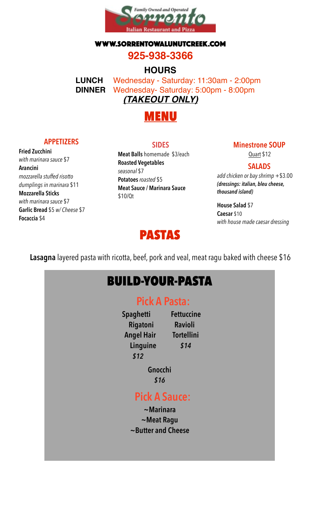

#### WWW.SORRENTOWALUNUTCREEK.COM

### **925-938-3366**

### **HOURS**

**LUNCH** Wednesday - Saturday: 11:30am - 2:00pm **DINNER** Wednesday- Saturday: 5:00pm - 8:00pm *(TAKEOUT ONLY)*



#### **APPETIZERS**

**Fried Zucchini** *with marinara sauce* \$7 **Arancini** *mozzarella stuffed risotto dumplings in marinara* \$11 **Mozzarella Sticks** *with marinara sauce* \$7 **Garlic Bread** \$5 *w/ Cheese* \$7 **Focaccia** \$4

#### **SIDES**

**Meat Balls** homemade \$3/each **Roasted Vegetables** *seasonal* \$7 **Potatoes***roasted* \$5 **Meat Sauce / Marinara Sauce** \$10/Qt

#### **Minestrone SOUP**

Quart \$12

#### **SALADS**

*add chicken or bay shrimp* +\$3.00 *(dressings: italian, bleu cheese, thousand island)* 

**House Salad** \$7 **Caesar** \$10 *with house made caesar dressing*

# PASTAS

**Lasagna** layered pasta with ricotta, beef, pork and veal, meat ragu baked with cheese \$16

# BUILD-YOUR-PASTA

# **Pick A Pasta:**

 **Spaghetti Fettuccine Rigatoni Ravioli Angel Hair Tortellini Linguine** *\$14 \$12* 

> **Gnocchi** *\$16*

# **Pick A Sauce:**

**~Marinara ~Meat Ragu ~Butter and Cheese**